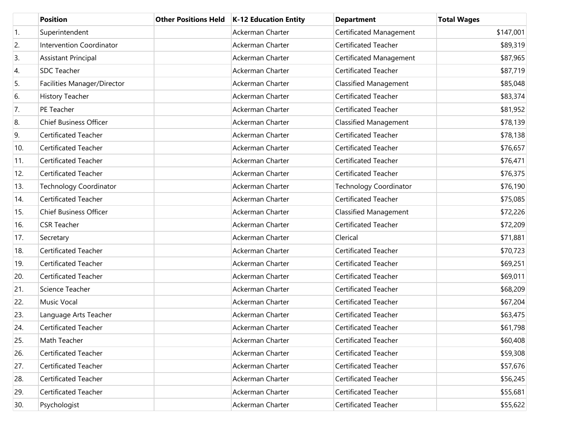|     | <b>Position</b>                 | <b>Other Positions Held</b> | K-12 Education Entity   | <b>Department</b>             | <b>Total Wages</b> |
|-----|---------------------------------|-----------------------------|-------------------------|-------------------------------|--------------------|
| 1.  | Superintendent                  |                             | Ackerman Charter        | Certificated Management       | \$147,001          |
| 2.  | <b>Intervention Coordinator</b> |                             | Ackerman Charter        | <b>Certificated Teacher</b>   | \$89,319           |
| 3.  | Assistant Principal             |                             | Ackerman Charter        | Certificated Management       | \$87,965           |
| 4.  | <b>SDC Teacher</b>              |                             | Ackerman Charter        | <b>Certificated Teacher</b>   | \$87,719           |
| 5.  | Facilities Manager/Director     |                             | Ackerman Charter        | <b>Classified Management</b>  | \$85,048           |
| 6.  | History Teacher                 |                             | Ackerman Charter        | <b>Certificated Teacher</b>   | \$83,374           |
| 7.  | PE Teacher                      |                             | Ackerman Charter        | <b>Certificated Teacher</b>   | \$81,952           |
| 8.  | <b>Chief Business Officer</b>   |                             | Ackerman Charter        | <b>Classified Management</b>  | \$78,139           |
| 9.  | <b>Certificated Teacher</b>     |                             | Ackerman Charter        | <b>Certificated Teacher</b>   | \$78,138           |
| 10. | <b>Certificated Teacher</b>     |                             | Ackerman Charter        | <b>Certificated Teacher</b>   | \$76,657           |
| 11. | <b>Certificated Teacher</b>     |                             | Ackerman Charter        | <b>Certificated Teacher</b>   | \$76,471           |
| 12. | <b>Certificated Teacher</b>     |                             | Ackerman Charter        | <b>Certificated Teacher</b>   | \$76,375           |
| 13. | <b>Technology Coordinator</b>   |                             | Ackerman Charter        | <b>Technology Coordinator</b> | \$76,190           |
| 14. | <b>Certificated Teacher</b>     |                             | Ackerman Charter        | Certificated Teacher          | \$75,085           |
| 15. | <b>Chief Business Officer</b>   |                             | Ackerman Charter        | <b>Classified Management</b>  | \$72,226           |
| 16. | <b>CSR Teacher</b>              |                             | Ackerman Charter        | <b>Certificated Teacher</b>   | \$72,209           |
| 17. | Secretary                       |                             | Ackerman Charter        | Clerical                      | \$71,881           |
| 18. | <b>Certificated Teacher</b>     |                             | Ackerman Charter        | Certificated Teacher          | \$70,723           |
| 19. | <b>Certificated Teacher</b>     |                             | Ackerman Charter        | <b>Certificated Teacher</b>   | \$69,251           |
| 20. | <b>Certificated Teacher</b>     |                             | Ackerman Charter        | <b>Certificated Teacher</b>   | \$69,011           |
| 21. | Science Teacher                 |                             | Ackerman Charter        | Certificated Teacher          | \$68,209           |
| 22. | <b>Music Vocal</b>              |                             | Ackerman Charter        | <b>Certificated Teacher</b>   | \$67,204           |
| 23. | Language Arts Teacher           |                             | Ackerman Charter        | <b>Certificated Teacher</b>   | \$63,475           |
| 24. | <b>Certificated Teacher</b>     |                             | <b>Ackerman Charter</b> | <b>Certificated Teacher</b>   | \$61,798           |
| 25. | Math Teacher                    |                             | Ackerman Charter        | Certificated Teacher          | \$60,408           |
| 26. | Certificated Teacher            |                             | Ackerman Charter        | Certificated Teacher          | \$59,308           |
| 27. | <b>Certificated Teacher</b>     |                             | Ackerman Charter        | Certificated Teacher          | \$57,676           |
| 28. | Certificated Teacher            |                             | Ackerman Charter        | Certificated Teacher          | \$56,245           |
| 29. | <b>Certificated Teacher</b>     |                             | Ackerman Charter        | Certificated Teacher          | \$55,681           |
| 30. | Psychologist                    |                             | Ackerman Charter        | Certificated Teacher          | \$55,622           |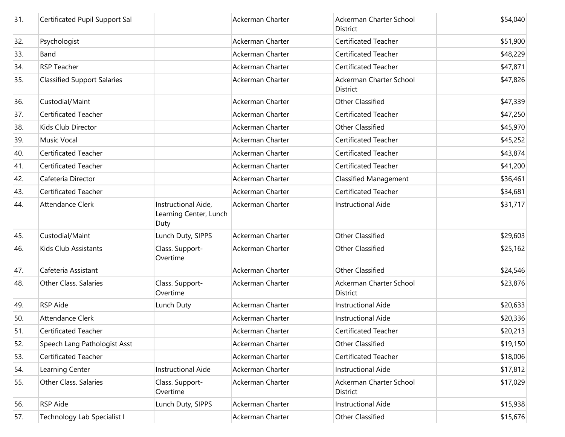| 31. | Certificated Pupil Support Sal     |                                                       | Ackerman Charter        | Ackerman Charter School<br><b>District</b> | \$54,040 |
|-----|------------------------------------|-------------------------------------------------------|-------------------------|--------------------------------------------|----------|
| 32. | Psychologist                       |                                                       | <b>Ackerman Charter</b> | <b>Certificated Teacher</b>                | \$51,900 |
| 33. | Band                               |                                                       | Ackerman Charter        | <b>Certificated Teacher</b>                | \$48,229 |
| 34. | <b>RSP Teacher</b>                 |                                                       | Ackerman Charter        | <b>Certificated Teacher</b>                | \$47,871 |
| 35. | <b>Classified Support Salaries</b> |                                                       | Ackerman Charter        | Ackerman Charter School<br>District        | \$47,826 |
| 36. | Custodial/Maint                    |                                                       | Ackerman Charter        | <b>Other Classified</b>                    | \$47,339 |
| 37. | Certificated Teacher               |                                                       | Ackerman Charter        | <b>Certificated Teacher</b>                | \$47,250 |
| 38. | Kids Club Director                 |                                                       | Ackerman Charter        | <b>Other Classified</b>                    | \$45,970 |
| 39. | <b>Music Vocal</b>                 |                                                       | Ackerman Charter        | <b>Certificated Teacher</b>                | \$45,252 |
| 40. | <b>Certificated Teacher</b>        |                                                       | Ackerman Charter        | <b>Certificated Teacher</b>                | \$43,874 |
| 41. | Certificated Teacher               |                                                       | Ackerman Charter        | <b>Certificated Teacher</b>                | \$41,200 |
| 42. | Cafeteria Director                 |                                                       | Ackerman Charter        | <b>Classified Management</b>               | \$36,461 |
| 43. | <b>Certificated Teacher</b>        |                                                       | Ackerman Charter        | <b>Certificated Teacher</b>                | \$34,681 |
| 44. | Attendance Clerk                   | Instructional Aide,<br>Learning Center, Lunch<br>Duty | Ackerman Charter        | <b>Instructional Aide</b>                  | \$31,717 |
| 45. | Custodial/Maint                    | Lunch Duty, SIPPS                                     | Ackerman Charter        | <b>Other Classified</b>                    | \$29,603 |
| 46. | Kids Club Assistants               | Class. Support-<br>Overtime                           | Ackerman Charter        | <b>Other Classified</b>                    | \$25,162 |
| 47. | Cafeteria Assistant                |                                                       | Ackerman Charter        | <b>Other Classified</b>                    | \$24,546 |
| 48. | <b>Other Class. Salaries</b>       | Class. Support-<br>Overtime                           | Ackerman Charter        | Ackerman Charter School<br>District        | \$23,876 |
| 49. | <b>RSP</b> Aide                    | Lunch Duty                                            | Ackerman Charter        | <b>Instructional Aide</b>                  | \$20,633 |
| 50. | Attendance Clerk                   |                                                       | Ackerman Charter        | <b>Instructional Aide</b>                  | \$20,336 |
| 51. | Certificated Teacher               |                                                       | Ackerman Charter        | Certificated Teacher                       | \$20,213 |
| 52. | Speech Lang Pathologist Asst       |                                                       | Ackerman Charter        | <b>Other Classified</b>                    | \$19,150 |
| 53. | Certificated Teacher               |                                                       | Ackerman Charter        | Certificated Teacher                       | \$18,006 |
| 54. | Learning Center                    | <b>Instructional Aide</b>                             | Ackerman Charter        | Instructional Aide                         | \$17,812 |
| 55. | Other Class. Salaries              | Class. Support-<br>Overtime                           | Ackerman Charter        | Ackerman Charter School<br>District        | \$17,029 |
| 56. | RSP Aide                           | Lunch Duty, SIPPS                                     | Ackerman Charter        | <b>Instructional Aide</b>                  | \$15,938 |
| 57. | Technology Lab Specialist I        |                                                       | Ackerman Charter        | Other Classified                           | \$15,676 |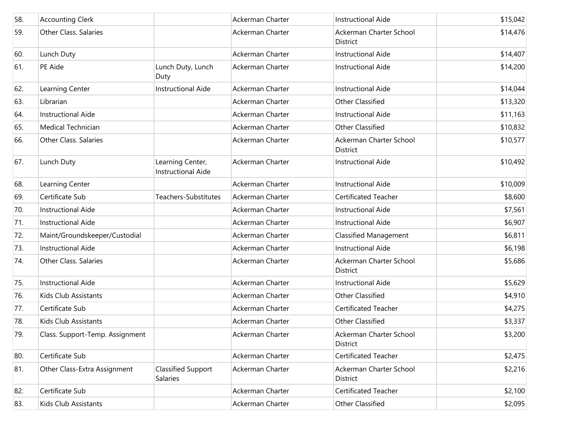| 58. | <b>Accounting Clerk</b>         |                                               | Ackerman Charter | <b>Instructional Aide</b>                  | \$15,042 |
|-----|---------------------------------|-----------------------------------------------|------------------|--------------------------------------------|----------|
| 59. | Other Class. Salaries           |                                               | Ackerman Charter | Ackerman Charter School<br><b>District</b> | \$14,476 |
| 60. | Lunch Duty                      |                                               | Ackerman Charter | <b>Instructional Aide</b>                  | \$14,407 |
| 61. | PE Aide                         | Lunch Duty, Lunch<br>Duty                     | Ackerman Charter | <b>Instructional Aide</b>                  | \$14,200 |
| 62. | Learning Center                 | <b>Instructional Aide</b>                     | Ackerman Charter | <b>Instructional Aide</b>                  | \$14,044 |
| 63. | Librarian                       |                                               | Ackerman Charter | <b>Other Classified</b>                    | \$13,320 |
| 64. | Instructional Aide              |                                               | Ackerman Charter | <b>Instructional Aide</b>                  | \$11,163 |
| 65. | Medical Technician              |                                               | Ackerman Charter | Other Classified                           | \$10,832 |
| 66. | <b>Other Class. Salaries</b>    |                                               | Ackerman Charter | Ackerman Charter School<br><b>District</b> | \$10,577 |
| 67. | Lunch Duty                      | Learning Center,<br><b>Instructional Aide</b> | Ackerman Charter | <b>Instructional Aide</b>                  | \$10,492 |
| 68. | Learning Center                 |                                               | Ackerman Charter | <b>Instructional Aide</b>                  | \$10,009 |
| 69. | Certificate Sub                 | Teachers-Substitutes                          | Ackerman Charter | <b>Certificated Teacher</b>                | \$8,600  |
| 70. | Instructional Aide              |                                               | Ackerman Charter | <b>Instructional Aide</b>                  | \$7,561  |
| 71. | <b>Instructional Aide</b>       |                                               | Ackerman Charter | <b>Instructional Aide</b>                  | \$6,907  |
| 72. | Maint/Groundskeeper/Custodial   |                                               | Ackerman Charter | <b>Classified Management</b>               | \$6,811  |
| 73. | <b>Instructional Aide</b>       |                                               | Ackerman Charter | <b>Instructional Aide</b>                  | \$6,198  |
| 74. | <b>Other Class. Salaries</b>    |                                               | Ackerman Charter | Ackerman Charter School<br><b>District</b> | \$5,686  |
| 75. | <b>Instructional Aide</b>       |                                               | Ackerman Charter | <b>Instructional Aide</b>                  | \$5,629  |
| 76. | Kids Club Assistants            |                                               | Ackerman Charter | <b>Other Classified</b>                    | \$4,910  |
| 77. | Certificate Sub                 |                                               | Ackerman Charter | <b>Certificated Teacher</b>                | \$4,275  |
| 78. | Kids Club Assistants            |                                               | Ackerman Charter | Other Classified                           | \$3,337  |
| 79. | Class. Support-Temp. Assignment |                                               | Ackerman Charter | Ackerman Charter School<br>District        | \$3,200  |
| 80. | Certificate Sub                 |                                               | Ackerman Charter | <b>Certificated Teacher</b>                | \$2,475  |
| 81. | Other Class-Extra Assignment    | <b>Classified Support</b><br><b>Salaries</b>  | Ackerman Charter | Ackerman Charter School<br>District        | \$2,216  |
| 82. | Certificate Sub                 |                                               | Ackerman Charter | <b>Certificated Teacher</b>                | \$2,100  |
| 83. | Kids Club Assistants            |                                               | Ackerman Charter | Other Classified                           | \$2,095  |